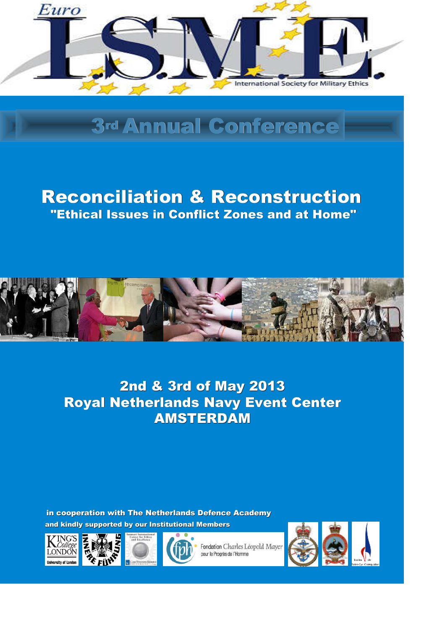

# 3rd Annual Conference

## Reconciliation & Reconstruction "Ethical Issues in Conflict Zones and at Home"



## 2nd & 3rd of May 2013 Royal Netherlands Navy Event Center AMSTERDAM

and kindly supported by our Institutional Members in cooperation with The Netherlands Defence Academy







Fondation Charles Léopold Maye pour le Progrès de l'Homme

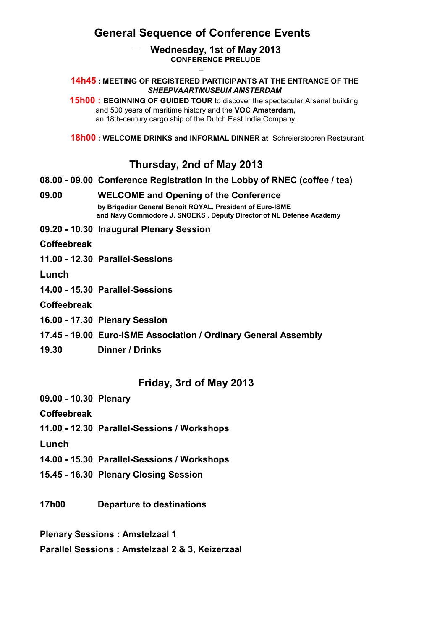## **General Sequence of Conference Events**

#### – **Wednesday, 1st of May 2013 CONFERENCE PRELUDE** –

#### **14h45 : MEETING OF REGISTERED PARTICIPANTS AT THE ENTRANCE OF THE**  *SHEEPVAARTMUSEUM AMSTERDAM*

**15h00 : BEGINNING OF GUIDED TOUR** to discover the spectacular Arsenal building and 500 years of maritime history and the **VOC Amsterdam,** an 18th-century cargo ship of the Dutch East India Company.

 **18h00 : WELCOME DRINKS and INFORMAL DINNER at** Schreierstooren Restaurant

#### **Thursday, 2nd of May 2013**

#### **08.00 - 09.00 Conference Registration in the Lobby of RNEC (coffee / tea)**

**09.00 WELCOME and Opening of the Conference by Brigadier General Benoît ROYAL, President of Euro-ISME and Navy Commodore J. SNOEKS , Deputy Director of NL Defense Academy**

**09.20 - 10.30 Inaugural Plenary Session** 

**Coffeebreak**

**11.00 - 12.30 Parallel-Sessions** 

**Lunch**

**14.00 - 15.30 Parallel-Sessions** 

**Coffeebreak**

- **16.00 17.30 Plenary Session**
- **17.45 19.00 Euro-ISME Association / Ordinary General Assembly**
- **19.30 Dinner / Drinks**

#### **Friday, 3rd of May 2013**

**09.00 - 10.30 Plenary**

**Coffeebreak** 

**11.00 - 12.30 Parallel-Sessions / Workshops**

**Lunch**

- **14.00 15.30 Parallel-Sessions / Workshops**
- **15.45 16.30 Plenary Closing Session**
- **17h00 Departure to destinations**

**Plenary Sessions : Amstelzaal 1**

**Parallel Sessions : Amstelzaal 2 & 3, Keizerzaal**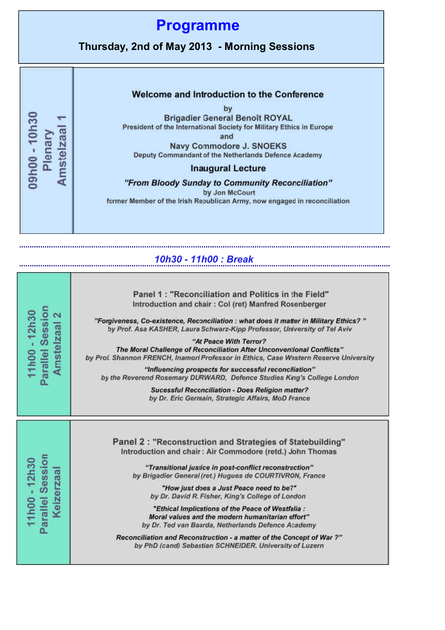

#### *10h30 - 11h00 : Break*

| Parallel Session<br>11h00 - 12h30<br>$\overline{\mathbf{c}}$<br>Amstelzaal | Panel 1: "Reconciliation and Politics in the Field"<br>Introduction and chair: Col (ret) Manfred Rosenberger<br>"Forgiveness, Co-existence, Reconciliation : what does it matter in Military Ethics?"<br>by Prof. Asa KASHER, Laura Schwarz-Kipp Professor, University of Tel Aviv<br>"At Peace With Terror?<br>The Moral Challenge of Reconciliation After Unconventional Conflicts"<br>by Prof. Shannon FRENCH, Inamori Professor in Ethics, Case Western Reserve University<br>"Influencing prospects for successful reconciliation"<br>by the Reverend Rosemary DURWARD, Defence Studies King's College London<br><b>Sucessful Reconciliation - Does Religion matter?</b><br>by Dr. Eric Germain, Strategic Affairs, MoD France |
|----------------------------------------------------------------------------|-------------------------------------------------------------------------------------------------------------------------------------------------------------------------------------------------------------------------------------------------------------------------------------------------------------------------------------------------------------------------------------------------------------------------------------------------------------------------------------------------------------------------------------------------------------------------------------------------------------------------------------------------------------------------------------------------------------------------------------|
| Parallel Session<br>11h00 - 12h30<br>Keizerzaal                            | Panel 2: "Reconstruction and Strategies of Statebuilding"<br>Introduction and chair: Air Commodore (retd.) John Thomas<br>"Transitional justice in post-conflict reconstruction"<br>by Brigadier General (ret.) Hugues de COURTIVRON, France<br>"How just does a Just Peace need to be?"<br>by Dr. David R. Fisher, King's College of London<br>"Ethical Implications of the Peace of Westfalia:<br>Moral values and the modern humanitarian effort"<br>by Dr. Ted van Baarda, Netherlands Defence Academy<br>Reconciliation and Reconstruction - a matter of the Concept of War ?"<br>by PhD (cand) Sebastian SCHNEIDER. University of Luzern                                                                                      |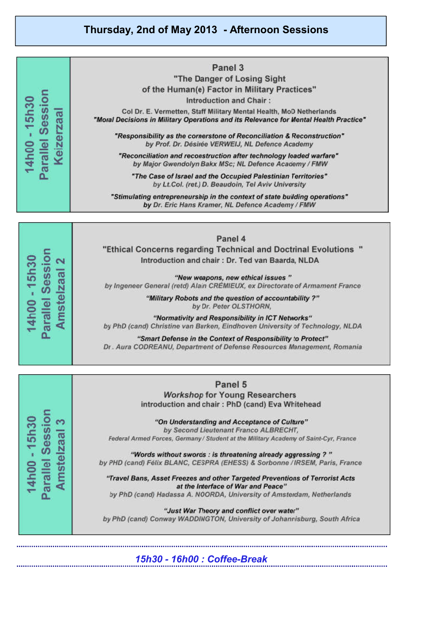**Thursday, 2nd of May 2013 - Afternoon Sessions**



*15h30 - 16h00 : Coffee-Break*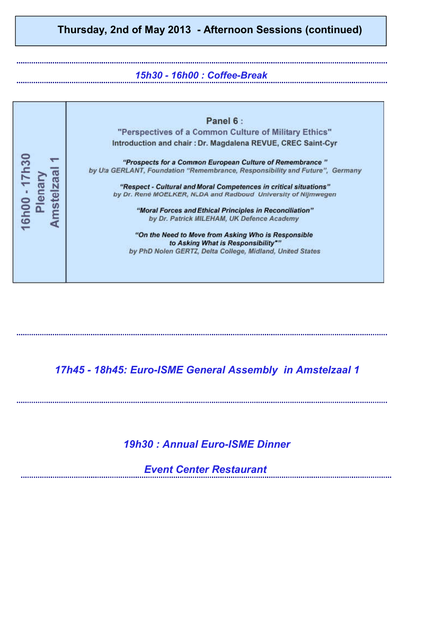## **Thursday, 2nd of May 2013 - Afternoon Sessions (continued)**

#### *15h30 - 16h00 : Coffee-Break*

Panel 6: "Perspectives of a Common Culture of Military Ethics" Introduction and chair : Dr. Magdalena REVUE, CREC Saint-Cyr 16h00 - 17h30 "Prospects for a Common European Culture of Remembrance" by Uta GERLANT, Foundation "Remembrance, Responsibility and Future", Germany Amstelzaal Plenary "Respect - Cultural and Moral Competences in critical situations" by Dr. René MOELKER, NLDA and Radboud University of Nijmwegen "Moral Forces and Ethical Principles in Reconciliation" by Dr. Patrick MILEHAM, UK Defence Academy "On the Need to Move from Asking Who is Responsible to Asking What is Responsibility"" by PhD Nolen GERTZ, Delta College, Midland, United States

### *17h45 - 18h45: Euro-ISME General Assembly in Amstelzaal 1*

#### *19h30 : Annual Euro-ISME Dinner*

*Event Center Restaurant*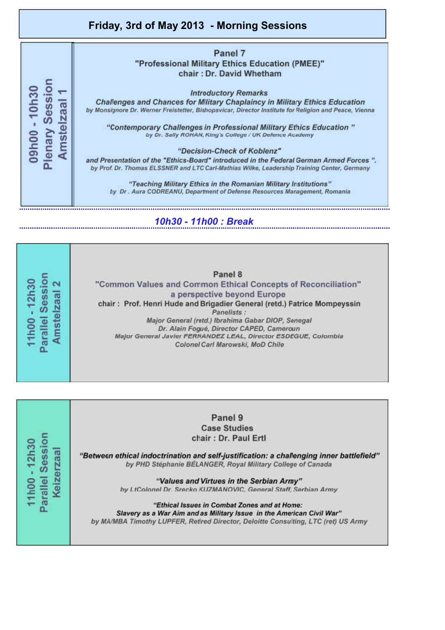### **Friday, 3rd of May 2013 - Morning Sessions**

#### Panel 7 "Professional Military Ethics Education (PMEE)" chair: Dr. David Whetham

**Introductory Remarks** 

Challenges and Chances for Military Chaplaincy in Military Ethics Education by Monsignore Dr. Werner Freistetter, Bishopsvicar, Director Institute for Religion and Peace, Vienna

"Contemporary Challenges in Professional Military Ethics Education" by Dr. Sally ROHAN, King's College / UK Defence Academy

#### "Decision-Check of Koblenz"

and Presentation of the "Ethics-Board" introduced in the Federal German Armed Forces". by Prof. Dr. Thomas ELSSNER and LTC Carl-Mathias Wilke, Leadership Training Center, Germany

"Teaching Military Ethics in the Romanian Military Institutions" by Dr. Aura CODREANU, Department of Defense Resources Management, Romania

#### *10h30 - 11h00 : Break*

Parallel Session 11h00 - 12h30 Amstelzaal 2

Plenary Session 09h00 - 10h30

**Amsteizaal** 

Panel 8 "Common Values and Common Ethical Concepts of Reconciliation" a perspective beyond Europe chair: Prof. Henri Hude and Brigadier General (retd.) Patrice Mompeyssin Panelists : Major General (retd.) Ibrahima Gabar DIOP, Senegal Dr. Alain Fogué, Director CAPED, Cameroun Major General Javier FERNANDEZ LEAL, Director ESDEGUE, Colombia Colonel Carl Marowski, MoD Chile

Parallel Session 11h00 - 12h30 Keizerzaal

Panel 9 **Case Studies** chair: Dr. Paul Ertl

"Between ethical indoctrination and self-justification: a challenging inner battlefield" by PHD Stéphanie BÉLANGER, Royal Military College of Canada

> "Values and Virtues in the Serbian Army" by LtColonel Dr. Srecko KUZMANOVIC, General Staff, Serbian Army

"Ethical Issues in Combat Zones and at Home: Slavery as a War Aim and as Military Issue in the American Civil War" by MA/MBA Timothy LUPFER, Retired Director, Deloitte Consulting, LTC (ret) US Army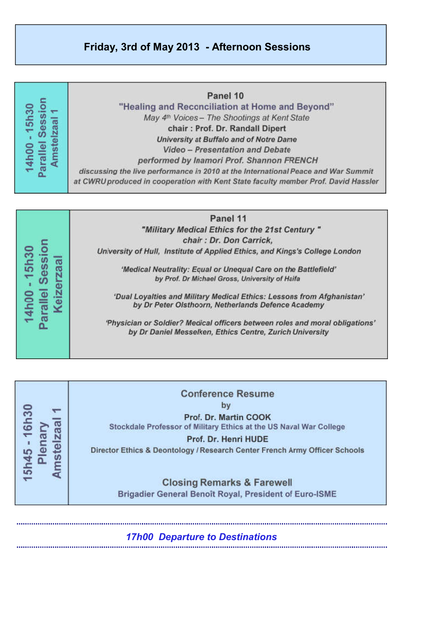#### **Friday, 3rd of May 2013 - Afternoon Sessions**

| ession<br>$-15h30$<br>aal<br>Amst<br><b>14h00</b><br>Parall | Panel 10<br>"Healing and Reconciliation at Home and Beyond"<br>May 4 <sup>th</sup> Voices - The Shootings at Kent State<br>chair: Prof. Dr. Randall Dipert<br>University at Buffalo and of Notre Dame<br><b>Video - Presentation and Debate</b><br>performed by Inamori Prof. Shannon FRENCH<br>discussing the live performance in 2010 at the International Peace and War Summit<br>at CWRU produced in cooperation with Kent State faculty member Prof. David Hassler |
|-------------------------------------------------------------|-------------------------------------------------------------------------------------------------------------------------------------------------------------------------------------------------------------------------------------------------------------------------------------------------------------------------------------------------------------------------------------------------------------------------------------------------------------------------|
|                                                             | Panel 11<br>"Military Madical Ethics for the 21st Contury."                                                                                                                                                                                                                                                                                                                                                                                                             |

Parallel Session 14h00 - 15h30

**Keizerzaa** 

chair : Dr. Don Carrick, University of Hull, Institute of Applied Ethics, and Kings's College London

'Medical Neutrality: Equal or Unequal Care on the Battlefield' by Prof. Dr Michael Gross, University of Haifa

'Dual Loyalties and Military Medical Ethics: Lessons from Afghanistan' by Dr Peter Olsthoorn, Netherlands Defence Academy

'Physician or Soldier? Medical officers between roles and moral obligations' by Dr Daniel Messelken, Ethics Centre, Zurich University

**Conference Resume** by 5h45 - 16h30 Prof. Dr. Martin COOK **Amstelzaal** Stockdale Professor of Military Ethics at the US Naval War College Plenary Prof. Dr. Henri HUDE Director Ethics & Deontology / Research Center French Army Officer Schools **Closing Remarks & Farewell** Brigadier General Benoît Royal, President of Euro-ISME

*17h00 Departure to Destinations*